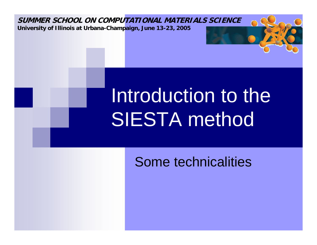

**University of Illinois at Urbana-Champaign, June 13-23, 2005** 

# Introduction to the SIESTA method

#### Some technicalities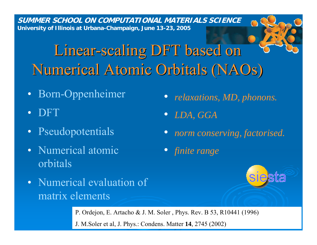#### Linear-scaling DFT based on Numerical Atomic Orbitals (NAOs)

- •Born-Oppenheimer
- •DFT
- •Pseudopotentials
- Numerical atomicorbitals
- Numerical evaluation of matrix elements
- *relaxations, MD, phonons.*
- $\bullet$ *LDA, GGA*
- *norm conserving, factorised.*
- *finite range*

P. Ordejon, E. Artacho & J. M. Soler , Phys. Rev. B 53, R10441 (1996) J. M.Soler et al, J. Phys.: Condens. Matter **14**, 2745 (2002)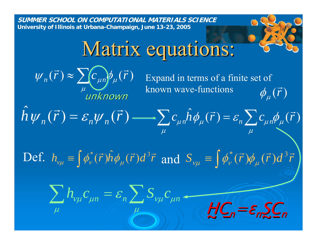**Matrix equations:**  
\n
$$
\psi_n(\vec{r}) \approx \sum_{\mu} C_{\mu n} \phi_{\mu}(\vec{r})
$$
\nExpand in terms of a finite set of known wave-functions\n
$$
\hat{h} \psi_n(\vec{r}) = \varepsilon_n \psi_n(\vec{r}) \longrightarrow \sum_{\mu} C_{\mu n} \hat{h} \phi_{\mu}(\vec{r}) = \varepsilon_n \sum_{\mu} C_{\mu n} \phi_{\mu}(\vec{r})
$$
\nDef. 
$$
h_{\nu\mu} = \int \phi_{\nu}^*(\vec{r}) \hat{h} \phi_{\mu}(\vec{r}) d^3 \vec{r}
$$
\nand 
$$
S_{\nu\mu} = \int \phi_{\nu}^*(\vec{r}) \phi_{\mu}(\vec{r}) d^3 \vec{r}
$$
\n
$$
\sum_{\mu} h_{\nu\mu} C_{\mu n} = \varepsilon_n \sum_{\mu} S_{\nu\mu} C_{\mu n}
$$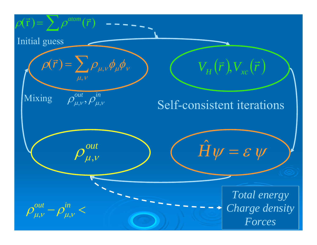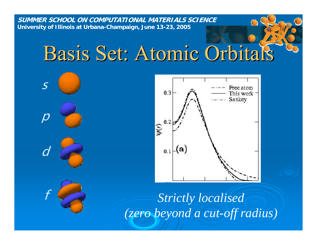# Basis Set: Atomic Orbitals Orbitals





*Strictly localised (zero beyond a cut-off radius)*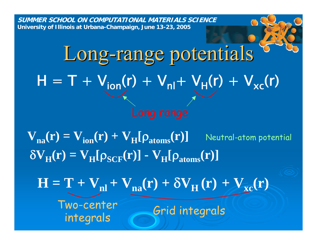# Long-range potentials  $H = T + V_{ion}(r) + V_{nl} + V_{H}(r) + V_{xc}(r)$

 $\delta V_{H}(r) = V_{H}[\rho_{SCF}(r)] - V_{H}[\rho_{atoms}(r)]$  $V_{\textbf{n}\textbf{a}}(\textbf{r}) = V_{\textbf{i}\textbf{on}}(\textbf{r}) + V_{\textbf{H}}[\rho_{\textbf{atoms}}(\textbf{r})]$  Neutral-atom potential

 $\mathbf{H} = \mathbf{T} + \mathbf{V}_{nl} + \mathbf{V}_{na}(\mathbf{r}) + \delta \mathbf{V}_{H}(\mathbf{r}) + \mathbf{V}_{xc}(\mathbf{r})$ 

Two-center mo-center Grid integrals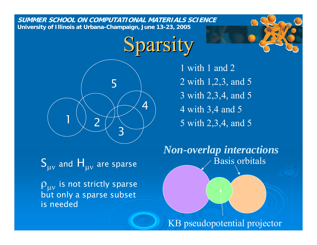## Sparsity



1 with 1 and 2 2 with 1,2,3, and 5 3 with 2,3,4, and 5 4 with 3,4 and 5 5 with 2,3,4, and 5

Basis orbitals *Non-overlap interactions*

 $S_{\mu\nu}$  and  $H_{\mu\nu}$  are sparse

 $\rho_{\mu\nu}$  is not strictly sparse but only a sparse subset is needed

KB pseudopotential projector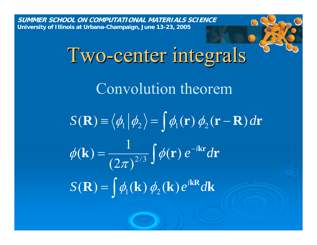> Two-center integrals Convolution theorem  $\mathbf{R} = \phi_1(\mathbf{k}) \phi_2(\mathbf{k}) e^{i\mathbf{k}\mathbf{R}} d\mathbf{k}$  $\bf{k}$ ) =  $\frac{1}{2}$   $\phi(\bf{r}) e^{-i \bf{kr}} d\bf{r}$  $S(\mathbf{R}) \equiv \langle \phi_1 | \phi_2 \rangle = | \phi_1(\mathbf{r}) \phi_2(\mathbf{r} - \mathbf{R}) d\mathbf{r}$  $e^{-i{\bf k}{\bf r}}d$  $S(\mathbf{R}) = \phi_0(\mathbf{k}) \phi_2(\mathbf{k}) e^{i \mathbf{k} \mathbf{R}} d$ *i*  $\mathbf{R}(\mathbf{R}) = |\phi_{1}(\mathbf{k})| \phi_{2}(\mathbf{k})$  $\mathbf{(k)} = \frac{1}{(2\pi)^{2/3}} \int \phi(\mathbf{r})$  $\frac{1}{2/3}$   $\phi$  $\mathcal{J}\!\mathcal{U}$  $|\phi|$ ∫ ∫ ∫ = =  $\equiv \langle \varrho_1 | \varrho_2 \rangle = \pm \varrho_1(\Gamma) \varrho_2(\Gamma -$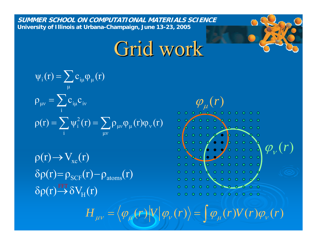Grid work

$$
\psi_i(r) = \sum_{\mu} c_{i\mu} \phi_{\mu}(r)
$$
  
\n
$$
\rho_{\mu\nu} = \sum_{i} c_{i\mu} c_{i\nu}
$$
  
\n
$$
\rho(r) = \sum_{i} \psi_i^2(r) = \sum_{\mu\nu} \rho_{\mu\nu} \phi_{\mu}(r) \phi_{\nu}(r)
$$

 $\delta \rho(r) \rightarrow \delta V_{\rm H}(r)$  $\delta \rho(r) = \rho_{SCF}(r) - \rho_{atoms}(r)$  $\rho(r) \rightarrow V_{xc}(r)$ 



 $H_{\mu\nu} = \langle \varphi_{\mu}(r) | V | \varphi_{\nu}(r) \rangle = \int \varphi_{\mu}(r) V(r) \varphi_{\nu}(r)$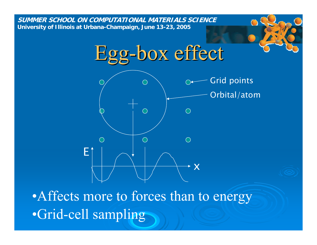

•Affects more to forces than to energy •Grid-cell sampling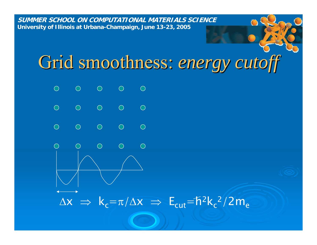### Grid smoothness: *energy cutoff*

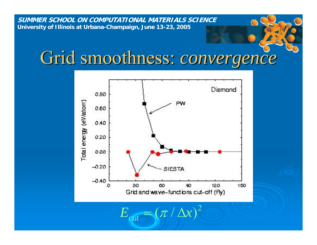#### Grid smoothness: *convergence*



 $E_{\rm{cut}} = (\pi / \Delta x)^2$